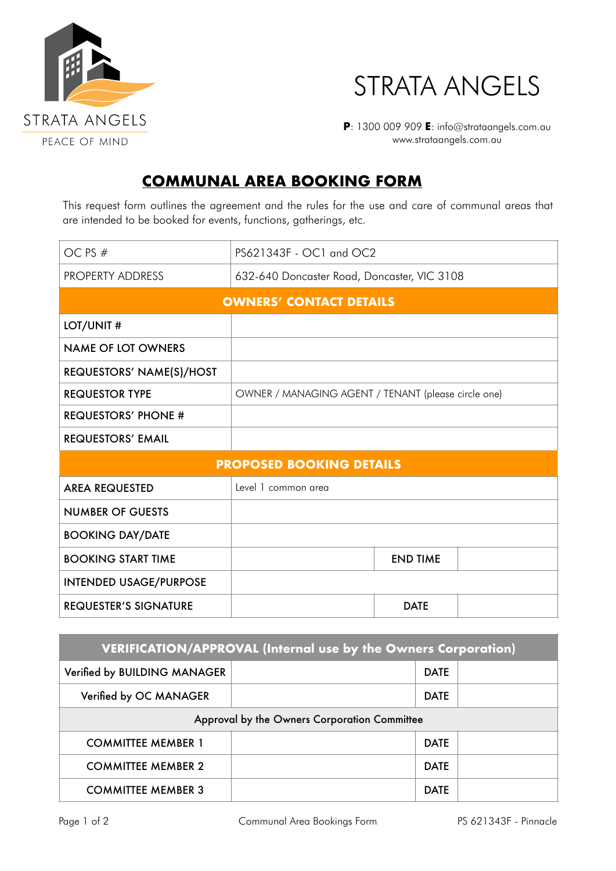



**P**: 1300 009 909 **E**: info@strataangels.com.au www.strataangels.com.au

## **COMMUNAL AREA BOOKING FORM**

This request form outlines the agreement and the rules for the use and care of communal areas that are intended to be booked for events, functions, gatherings, etc.

| OC PS #                         | PS621343F - OC1 and OC2                             |                 |  |  |
|---------------------------------|-----------------------------------------------------|-----------------|--|--|
| PROPERTY ADDRESS                | 632-640 Doncaster Road, Doncaster, VIC 3108         |                 |  |  |
| <b>OWNERS' CONTACT DETAILS</b>  |                                                     |                 |  |  |
| LOT/UNIT#                       |                                                     |                 |  |  |
| <b>NAME OF LOT OWNERS</b>       |                                                     |                 |  |  |
| REQUESTORS' NAME(S)/HOST        |                                                     |                 |  |  |
| <b>REQUESTOR TYPE</b>           | OWNER / MANAGING AGENT / TENANT (please circle one) |                 |  |  |
| <b>REQUESTORS' PHONE #</b>      |                                                     |                 |  |  |
| <b>REQUESTORS' EMAIL</b>        |                                                     |                 |  |  |
| <b>PROPOSED BOOKING DETAILS</b> |                                                     |                 |  |  |
| <b>AREA REQUESTED</b>           | Level 1 common area                                 |                 |  |  |
| <b>NUMBER OF GUESTS</b>         |                                                     |                 |  |  |
| <b>BOOKING DAY/DATE</b>         |                                                     |                 |  |  |
| <b>BOOKING START TIME</b>       |                                                     | <b>END TIME</b> |  |  |
| <b>INTENDED USAGE/PURPOSE</b>   |                                                     |                 |  |  |
| <b>REQUESTER'S SIGNATURE</b>    |                                                     | <b>DATE</b>     |  |  |

| VERIFICATION/APPROVAL (Internal use by the Owners Corporation) |             |  |  |  |
|----------------------------------------------------------------|-------------|--|--|--|
| Verified by BUILDING MANAGER                                   | <b>DATE</b> |  |  |  |
| Verified by OC MANAGER                                         | <b>DATE</b> |  |  |  |
| Approval by the Owners Corporation Committee                   |             |  |  |  |
| <b>COMMITTEE MEMBER 1</b>                                      | <b>DATE</b> |  |  |  |
| <b>COMMITTEE MEMBER 2</b>                                      | <b>DATE</b> |  |  |  |
| <b>COMMITTEE MEMBER 3</b>                                      | <b>DATE</b> |  |  |  |